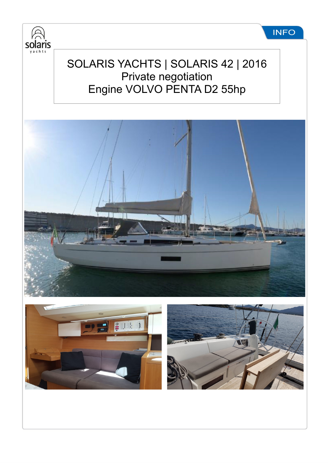

## SOLARIS YACHTS | SOLARIS 42 | 2016 Private negotiation Engine VOLVO PENTA D2 55hp